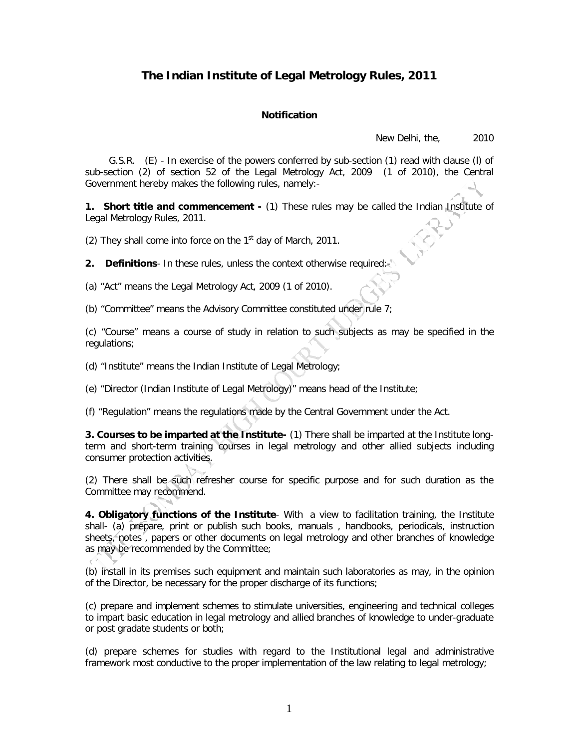## **The Indian Institute of Legal Metrology Rules, 2011**

## **Notification**

New Delhi, the, 2010

 G.S.R. (E) - In exercise of the powers conferred by sub-section (1) read with clause (l) of sub-section (2) of section 52 of the Legal Metrology Act, 2009 (1 of 2010), the Central Government hereby makes the following rules, namely:-

**1. Short title and commencement -** (1) These rules may be called the Indian Institute of Legal Metrology Rules, 2011.

(2) They shall come into force on the  $1<sup>st</sup>$  day of March, 2011.

**2. Definitions**- In these rules, unless the context otherwise required:-

(a) "Act" means the Legal Metrology Act, 2009 (1 of 2010).

(b) "Committee" means the Advisory Committee constituted under rule 7;

(c) "Course" means a course of study in relation to such subjects as may be specified in the regulations;

(d) "Institute" means the Indian Institute of Legal Metrology;

(e) "Director (Indian Institute of Legal Metrology)" means head of the Institute;

(f) "Regulation" means the regulations made by the Central Government under the Act.

**3. Courses to be imparted at the Institute-** (1) There shall be imparted at the Institute longterm and short-term training courses in legal metrology and other allied subjects including consumer protection activities.

(2) There shall be such refresher course for specific purpose and for such duration as the Committee may recommend.

**4. Obligatory functions of the Institute**- With a view to facilitation training, the Institute shall- (a) prepare, print or publish such books, manuals , handbooks, periodicals, instruction sheets, notes , papers or other documents on legal metrology and other branches of knowledge as may be recommended by the Committee;

(b) install in its premises such equipment and maintain such laboratories as may, in the opinion of the Director, be necessary for the proper discharge of its functions;

(c) prepare and implement schemes to stimulate universities, engineering and technical colleges to impart basic education in legal metrology and allied branches of knowledge to under-graduate or post gradate students or both;

(d) prepare schemes for studies with regard to the Institutional legal and administrative framework most conductive to the proper implementation of the law relating to legal metrology;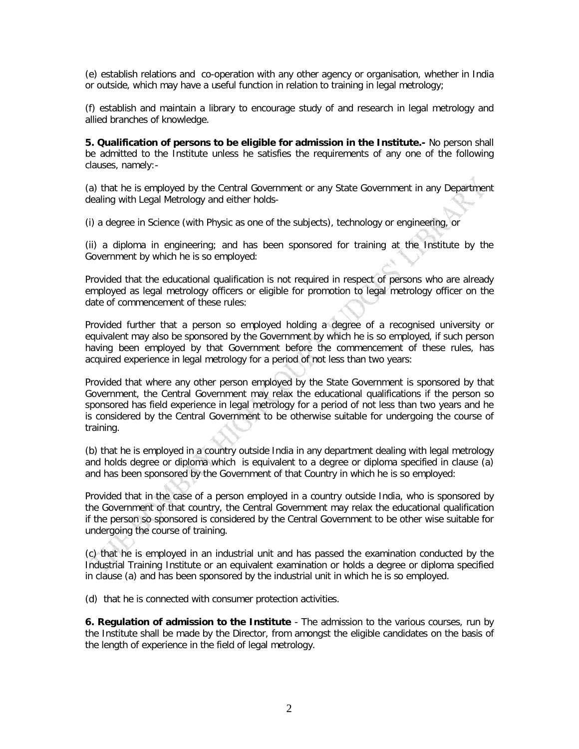(e) establish relations and co-operation with any other agency or organisation, whether in India or outside, which may have a useful function in relation to training in legal metrology;

(f) establish and maintain a library to encourage study of and research in legal metrology and allied branches of knowledge.

**5. Qualification of persons to be eligible for admission in the Institute.-** No person shall be admitted to the Institute unless he satisfies the requirements of any one of the following clauses, namely:-

(a) that he is employed by the Central Government or any State Government in any Department dealing with Legal Metrology and either holds-

(i) a degree in Science (with Physic as one of the subjects), technology or engineering, or

(ii) a diploma in engineering; and has been sponsored for training at the Institute by the Government by which he is so employed:

Provided that the educational qualification is not required in respect of persons who are already employed as legal metrology officers or eligible for promotion to legal metrology officer on the date of commencement of these rules:

Provided further that a person so employed holding a degree of a recognised university or equivalent may also be sponsored by the Government by which he is so employed, if such person having been employed by that Government before the commencement of these rules, has acquired experience in legal metrology for a period of not less than two years:

Provided that where any other person employed by the State Government is sponsored by that Government, the Central Government may relax the educational qualifications if the person so sponsored has field experience in legal metrology for a period of not less than two years and he is considered by the Central Government to be otherwise suitable for undergoing the course of training.

(b) that he is employed in a country outside India in any department dealing with legal metrology and holds degree or diploma which is equivalent to a degree or diploma specified in clause (a) and has been sponsored by the Government of that Country in which he is so employed:

Provided that in the case of a person employed in a country outside India, who is sponsored by the Government of that country, the Central Government may relax the educational qualification if the person so sponsored is considered by the Central Government to be other wise suitable for undergoing the course of training.

(c) that he is employed in an industrial unit and has passed the examination conducted by the Industrial Training Institute or an equivalent examination or holds a degree or diploma specified in clause (a) and has been sponsored by the industrial unit in which he is so employed.

(d) that he is connected with consumer protection activities.

**6. Regulation of admission to the Institute** - The admission to the various courses, run by the Institute shall be made by the Director, from amongst the eligible candidates on the basis of the length of experience in the field of legal metrology.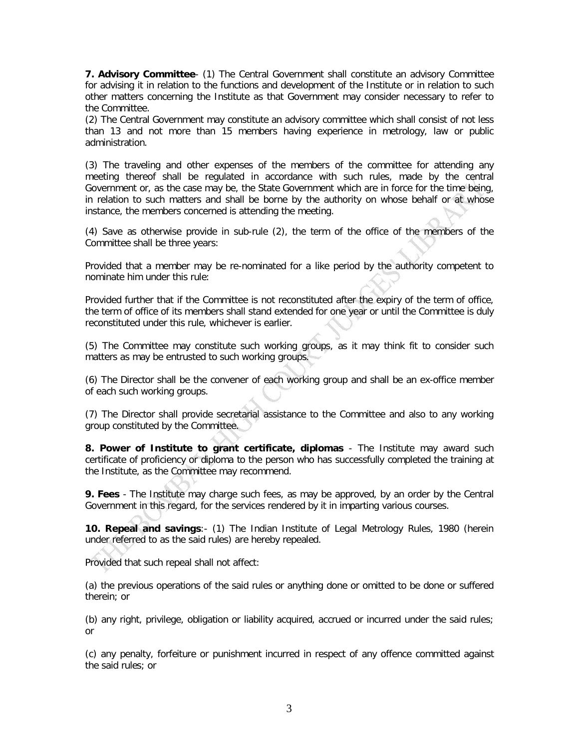**7. Advisory Committee**- (1) The Central Government shall constitute an advisory Committee for advising it in relation to the functions and development of the Institute or in relation to such other matters concerning the Institute as that Government may consider necessary to refer to the Committee.

(2) The Central Government may constitute an advisory committee which shall consist of not less than 13 and not more than 15 members having experience in metrology, law or public administration.

(3) The traveling and other expenses of the members of the committee for attending any meeting thereof shall be regulated in accordance with such rules, made by the central Government or, as the case may be, the State Government which are in force for the time being, in relation to such matters and shall be borne by the authority on whose behalf or at whose instance, the members concerned is attending the meeting.

(4) Save as otherwise provide in sub-rule (2), the term of the office of the members of the Committee shall be three years:

Provided that a member may be re-nominated for a like period by the authority competent to nominate him under this rule:

Provided further that if the Committee is not reconstituted after the expiry of the term of office, the term of office of its members shall stand extended for one year or until the Committee is duly reconstituted under this rule, whichever is earlier.

(5) The Committee may constitute such working groups, as it may think fit to consider such matters as may be entrusted to such working groups.

(6) The Director shall be the convener of each working group and shall be an ex-office member of each such working groups.

(7) The Director shall provide secretarial assistance to the Committee and also to any working group constituted by the Committee.

**8. Power of Institute to grant certificate, diplomas** - The Institute may award such certificate of proficiency or diploma to the person who has successfully completed the training at the Institute, as the Committee may recommend.

**9. Fees** - The Institute may charge such fees, as may be approved, by an order by the Central Government in this regard, for the services rendered by it in imparting various courses.

**10. Repeal and savings**:- (1) The Indian Institute of Legal Metrology Rules, 1980 (herein under referred to as the said rules) are hereby repealed.

Provided that such repeal shall not affect:

(a) the previous operations of the said rules or anything done or omitted to be done or suffered therein; or

(b) any right, privilege, obligation or liability acquired, accrued or incurred under the said rules; or

(c) any penalty, forfeiture or punishment incurred in respect of any offence committed against the said rules; or